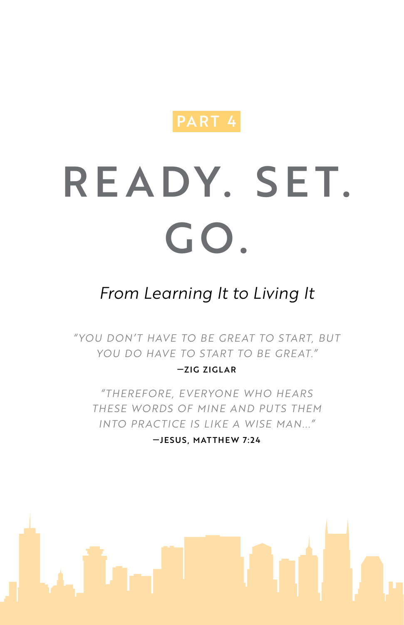

# READY. SET. GO.

# *From Learning It to Living It*

*" YOU DON'T HAVE TO BE GREAT TO START, BUT YOU DO HAVE TO START TO BE GREAT."*

#### —ZIG ZIGLAR

*"THEREFORE, EVERYONE WHO HEARS THESE WORDS OF MINE AND PUTS THEM INTO PRACTICE IS LIKE A WISE MAN..."*

—JESUS, MATTHEW 7:24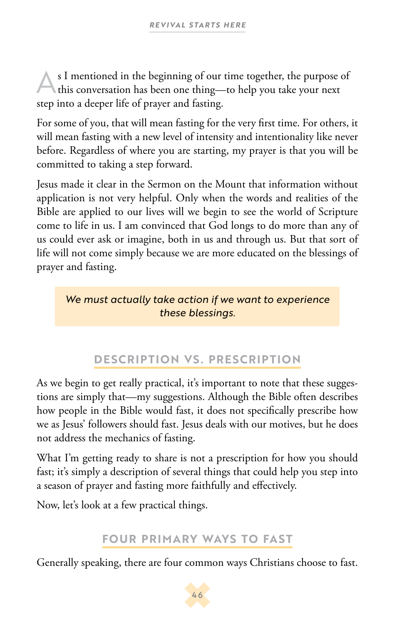As I mentioned in the beginning of our time together, the purpose of this conversation has been one thing—to help you take your next step into a deeper life of prayer and fasting.

For some of you, that will mean fasting for the very first time. For others, it will mean fasting with a new level of intensity and intentionality like never before. Regardless of where you are starting, my prayer is that you will be committed to taking a step forward.

Jesus made it clear in the Sermon on the Mount that information without application is not very helpful. Only when the words and realities of the Bible are applied to our lives will we begin to see the world of Scripture come to life in us. I am convinced that God longs to do more than any of us could ever ask or imagine, both in us and through us. But that sort of life will not come simply because we are more educated on the blessings of prayer and fasting.

#### *We must actually take action if we want to experience these blessings.*

# **DESCRIPTION VS. PRESCRIPTION**

As we begin to get really practical, it's important to note that these suggestions are simply that—my suggestions. Although the Bible often describes how people in the Bible would fast, it does not specifically prescribe how we as Jesus' followers should fast. Jesus deals with our motives, but he does not address the mechanics of fasting.

What I'm getting ready to share is not a prescription for how you should fast; it's simply a description of several things that could help you step into a season of prayer and fasting more faithfully and effectively.

Now, let's look at a few practical things.

## **FOUR PRIMARY WAYS TO FAST**

Generally speaking, there are four common ways Christians choose to fast.

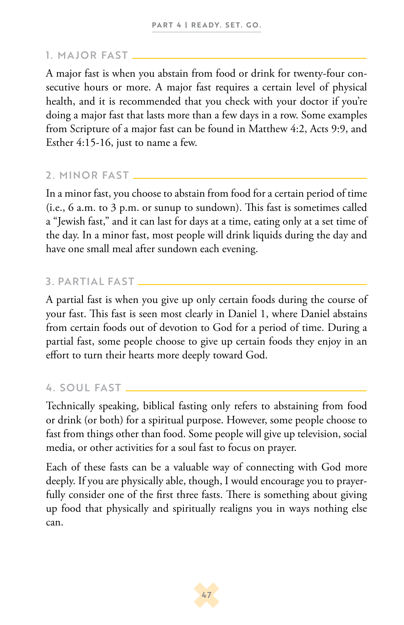#### 1. MAJOR FAST

A major fast is when you abstain from food or drink for twenty-four consecutive hours or more. A major fast requires a certain level of physical health, and it is recommended that you check with your doctor if you're doing a major fast that lasts more than a few days in a row. Some examples from Scripture of a major fast can be found in Matthew 4:2, Acts 9:9, and Esther 4:15-16, just to name a few.

#### 2. MINOR FAST

In a minor fast, you choose to abstain from food for a certain period of time (i.e., 6 a.m. to 3 p.m. or sunup to sundown). This fast is sometimes called a "Jewish fast," and it can last for days at a time, eating only at a set time of the day. In a minor fast, most people will drink liquids during the day and have one small meal after sundown each evening.

#### 3. PARTIAL FAST

A partial fast is when you give up only certain foods during the course of your fast. This fast is seen most clearly in Daniel 1, where Daniel abstains from certain foods out of devotion to God for a period of time. During a partial fast, some people choose to give up certain foods they enjoy in an effort to turn their hearts more deeply toward God.

#### 4. SOUL FAST

Technically speaking, biblical fasting only refers to abstaining from food or drink (or both) for a spiritual purpose. However, some people choose to fast from things other than food. Some people will give up television, social media, or other activities for a soul fast to focus on prayer.

Each of these fasts can be a valuable way of connecting with God more deeply. If you are physically able, though, I would encourage you to prayerfully consider one of the first three fasts. There is something about giving up food that physically and spiritually realigns you in ways nothing else can.

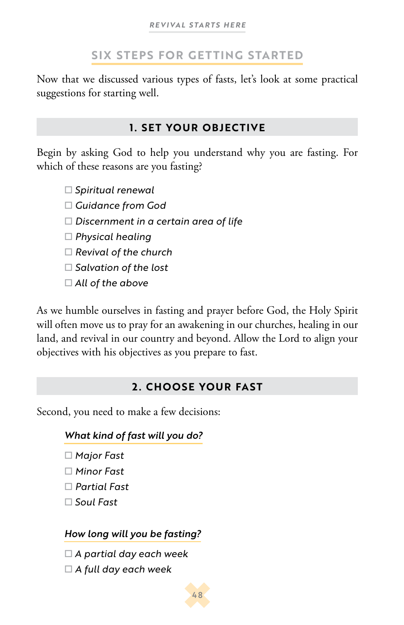### **SIX STEPS FOR GETTING STARTED**

Now that we discussed various types of fasts, let's look at some practical suggestions for starting well.

#### **1. SET YOUR OBJECTIVE**

Begin by asking God to help you understand why you are fasting. For which of these reasons are you fasting?

*Spiritual renewal*

*Guidance from God*

*Discernment in a certain area of life*

*Physical healing*

*Revival of the church*

*Salvation of the lost*

*All of the above*

As we humble ourselves in fasting and prayer before God, the Holy Spirit will often move us to pray for an awakening in our churches, healing in our land, and revival in our country and beyond. Allow the Lord to align your objectives with his objectives as you prepare to fast.

#### **2. CHOOSE YOUR FAST**

Second, you need to make a few decisions:

#### *What kind of fast will you do?*

- *Major Fast*
- *Minor Fast*
- *Partial Fast*
- *Soul Fast*

#### *How long will you be fasting?*

- *A partial day each week*
- *A full day each week*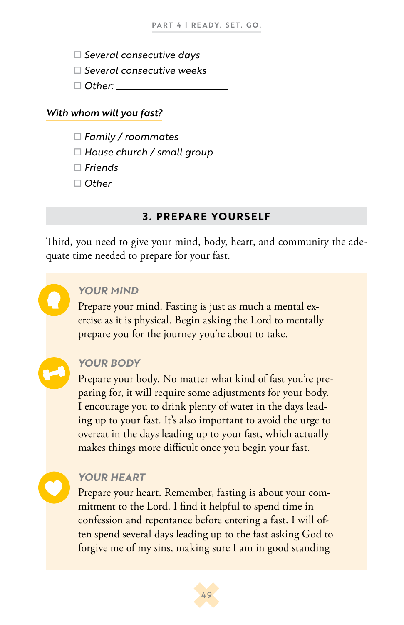- *Several consecutive days*
- *Several consecutive weeks*
- *Other:*

#### *With whom will you fast?*

- *Family / roommates*
- *House church / small group*
- *Friends*
- *Other*

#### **3. PREPARE YOURSELF**

Third, you need to give your mind, body, heart, and community the adequate time needed to prepare for your fast.

#### *YOUR MIND*

Prepare your mind. Fasting is just as much a mental exercise as it is physical. Begin asking the Lord to mentally prepare you for the journey you're about to take.

#### *YOUR BODY*

Prepare your body. No matter what kind of fast you're preparing for, it will require some adjustments for your body. I encourage you to drink plenty of water in the days leading up to your fast. It's also important to avoid the urge to overeat in the days leading up to your fast, which actually makes things more difficult once you begin your fast.

#### *YOUR HEART*

Prepare your heart. Remember, fasting is about your commitment to the Lord. I find it helpful to spend time in confession and repentance before entering a fast. I will often spend several days leading up to the fast asking God to forgive me of my sins, making sure I am in good standing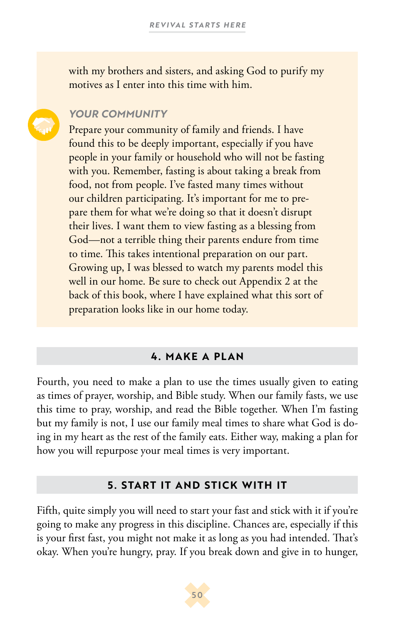with my brothers and sisters, and asking God to purify my motives as I enter into this time with him.

#### *YOUR COMMUNITY*

Prepare your community of family and friends. I have found this to be deeply important, especially if you have people in your family or household who will not be fasting with you. Remember, fasting is about taking a break from food, not from people. I've fasted many times without our children participating. It's important for me to prepare them for what we're doing so that it doesn't disrupt their lives. I want them to view fasting as a blessing from God—not a terrible thing their parents endure from time to time. This takes intentional preparation on our part. Growing up, I was blessed to watch my parents model this well in our home. Be sure to check out Appendix 2 at the back of this book, where I have explained what this sort of preparation looks like in our home today.

#### **4. MAKE A PLAN**

Fourth, you need to make a plan to use the times usually given to eating as times of prayer, worship, and Bible study. When our family fasts, we use this time to pray, worship, and read the Bible together. When I'm fasting but my family is not, I use our family meal times to share what God is doing in my heart as the rest of the family eats. Either way, making a plan for how you will repurpose your meal times is very important.

#### **5. START IT AND STICK WITH IT**

Fifth, quite simply you will need to start your fast and stick with it if you're going to make any progress in this discipline. Chances are, especially if this is your first fast, you might not make it as long as you had intended. That's okay. When you're hungry, pray. If you break down and give in to hunger,